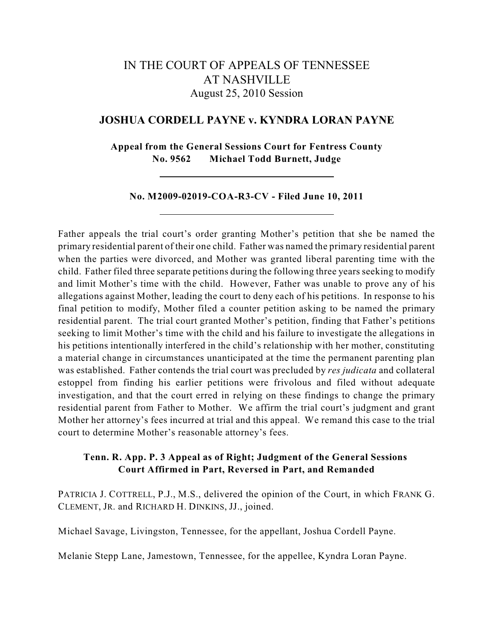# IN THE COURT OF APPEALS OF TENNESSEE AT NASHVILLE August 25, 2010 Session

# **JOSHUA CORDELL PAYNE v. KYNDRA LORAN PAYNE**

**Appeal from the General Sessions Court for Fentress County No. 9562 Michael Todd Burnett, Judge**

#### **No. M2009-02019-COA-R3-CV - Filed June 10, 2011**

Father appeals the trial court's order granting Mother's petition that she be named the primary residential parent of their one child. Father was named the primary residential parent when the parties were divorced, and Mother was granted liberal parenting time with the child. Father filed three separate petitions during the following three years seeking to modify and limit Mother's time with the child. However, Father was unable to prove any of his allegations against Mother, leading the court to deny each of his petitions. In response to his final petition to modify, Mother filed a counter petition asking to be named the primary residential parent. The trial court granted Mother's petition, finding that Father's petitions seeking to limit Mother's time with the child and his failure to investigate the allegations in his petitions intentionally interfered in the child's relationship with her mother, constituting a material change in circumstances unanticipated at the time the permanent parenting plan was established. Father contends the trial court was precluded by *res judicata* and collateral estoppel from finding his earlier petitions were frivolous and filed without adequate investigation, and that the court erred in relying on these findings to change the primary residential parent from Father to Mother. We affirm the trial court's judgment and grant Mother her attorney's fees incurred at trial and this appeal. We remand this case to the trial court to determine Mother's reasonable attorney's fees.

# **Tenn. R. App. P. 3 Appeal as of Right; Judgment of the General Sessions Court Affirmed in Part, Reversed in Part, and Remanded**

PATRICIA J. COTTRELL, P.J., M.S., delivered the opinion of the Court, in which FRANK G. CLEMENT, JR. and RICHARD H. DINKINS, JJ., joined.

Michael Savage, Livingston, Tennessee, for the appellant, Joshua Cordell Payne.

Melanie Stepp Lane, Jamestown, Tennessee, for the appellee, Kyndra Loran Payne.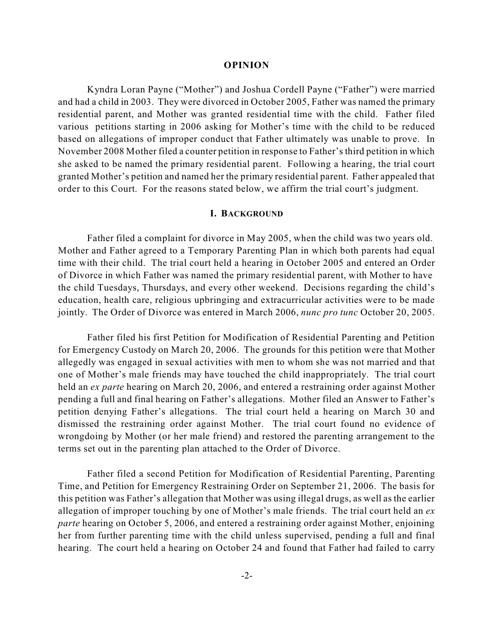#### **OPINION**

Kyndra Loran Payne ("Mother") and Joshua Cordell Payne ("Father") were married and had a child in 2003. They were divorced in October 2005, Father was named the primary residential parent, and Mother was granted residential time with the child. Father filed various petitions starting in 2006 asking for Mother's time with the child to be reduced based on allegations of improper conduct that Father ultimately was unable to prove. In November 2008 Mother filed a counter petition in response to Father's third petition in which she asked to be named the primary residential parent. Following a hearing, the trial court granted Mother's petition and named her the primary residential parent. Father appealed that order to this Court. For the reasons stated below, we affirm the trial court's judgment.

## **I. BACKGROUND**

Father filed a complaint for divorce in May 2005, when the child was two years old. Mother and Father agreed to a Temporary Parenting Plan in which both parents had equal time with their child. The trial court held a hearing in October 2005 and entered an Order of Divorce in which Father was named the primary residential parent, with Mother to have the child Tuesdays, Thursdays, and every other weekend. Decisions regarding the child's education, health care, religious upbringing and extracurricular activities were to be made jointly. The Order of Divorce was entered in March 2006, *nunc pro tunc* October 20, 2005.

Father filed his first Petition for Modification of Residential Parenting and Petition for Emergency Custody on March 20, 2006. The grounds for this petition were that Mother allegedly was engaged in sexual activities with men to whom she was not married and that one of Mother's male friends may have touched the child inappropriately. The trial court held an *ex parte* hearing on March 20, 2006, and entered a restraining order against Mother pending a full and final hearing on Father's allegations. Mother filed an Answer to Father's petition denying Father's allegations. The trial court held a hearing on March 30 and dismissed the restraining order against Mother. The trial court found no evidence of wrongdoing by Mother (or her male friend) and restored the parenting arrangement to the terms set out in the parenting plan attached to the Order of Divorce.

Father filed a second Petition for Modification of Residential Parenting, Parenting Time, and Petition for Emergency Restraining Order on September 21, 2006. The basis for this petition was Father's allegation that Mother was using illegal drugs, as well as the earlier allegation of improper touching by one of Mother's male friends. The trial court held an *ex parte* hearing on October 5, 2006, and entered a restraining order against Mother, enjoining her from further parenting time with the child unless supervised, pending a full and final hearing. The court held a hearing on October 24 and found that Father had failed to carry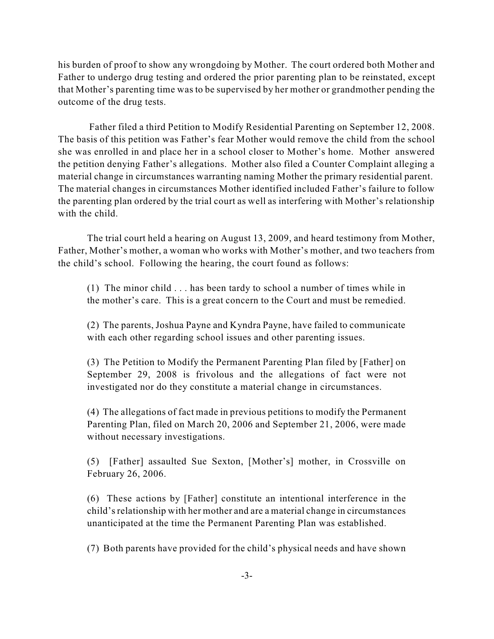his burden of proof to show any wrongdoing by Mother. The court ordered both Mother and Father to undergo drug testing and ordered the prior parenting plan to be reinstated, except that Mother's parenting time was to be supervised by her mother or grandmother pending the outcome of the drug tests.

Father filed a third Petition to Modify Residential Parenting on September 12, 2008. The basis of this petition was Father's fear Mother would remove the child from the school she was enrolled in and place her in a school closer to Mother's home. Mother answered the petition denying Father's allegations. Mother also filed a Counter Complaint alleging a material change in circumstances warranting naming Mother the primary residential parent. The material changes in circumstances Mother identified included Father's failure to follow the parenting plan ordered by the trial court as well as interfering with Mother's relationship with the child.

The trial court held a hearing on August 13, 2009, and heard testimony from Mother, Father, Mother's mother, a woman who works with Mother's mother, and two teachers from the child's school. Following the hearing, the court found as follows:

(1) The minor child . . . has been tardy to school a number of times while in the mother's care. This is a great concern to the Court and must be remedied.

(2) The parents, Joshua Payne and Kyndra Payne, have failed to communicate with each other regarding school issues and other parenting issues.

(3) The Petition to Modify the Permanent Parenting Plan filed by [Father] on September 29, 2008 is frivolous and the allegations of fact were not investigated nor do they constitute a material change in circumstances.

(4) The allegations of fact made in previous petitions to modify the Permanent Parenting Plan, filed on March 20, 2006 and September 21, 2006, were made without necessary investigations.

(5) [Father] assaulted Sue Sexton, [Mother's] mother, in Crossville on February 26, 2006.

(6) These actions by [Father] constitute an intentional interference in the child'srelationship with her mother and are a material change in circumstances unanticipated at the time the Permanent Parenting Plan was established.

(7) Both parents have provided for the child's physical needs and have shown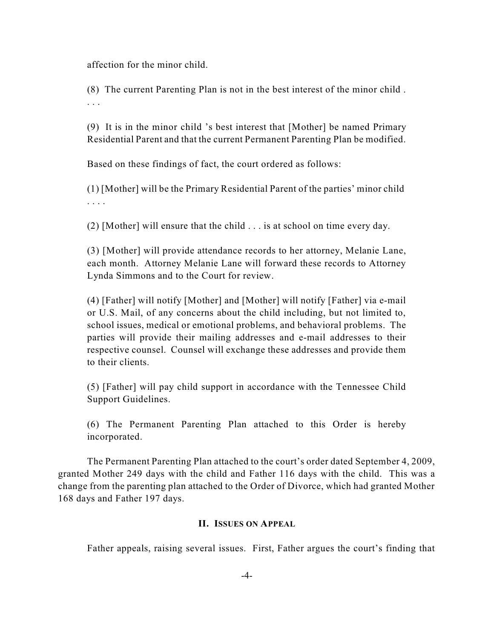affection for the minor child.

(8) The current Parenting Plan is not in the best interest of the minor child . . . .

(9) It is in the minor child 's best interest that [Mother] be named Primary Residential Parent and that the current Permanent Parenting Plan be modified.

Based on these findings of fact, the court ordered as follows:

(1) [Mother] will be the Primary Residential Parent of the parties' minor child . . . .

(2) [Mother] will ensure that the child . . . is at school on time every day.

(3) [Mother] will provide attendance records to her attorney, Melanie Lane, each month. Attorney Melanie Lane will forward these records to Attorney Lynda Simmons and to the Court for review.

(4) [Father] will notify [Mother] and [Mother] will notify [Father] via e-mail or U.S. Mail, of any concerns about the child including, but not limited to, school issues, medical or emotional problems, and behavioral problems. The parties will provide their mailing addresses and e-mail addresses to their respective counsel. Counsel will exchange these addresses and provide them to their clients.

(5) [Father] will pay child support in accordance with the Tennessee Child Support Guidelines.

(6) The Permanent Parenting Plan attached to this Order is hereby incorporated.

The Permanent Parenting Plan attached to the court's order dated September 4, 2009, granted Mother 249 days with the child and Father 116 days with the child. This was a change from the parenting plan attached to the Order of Divorce, which had granted Mother 168 days and Father 197 days.

## **II. ISSUES ON APPEAL**

Father appeals, raising several issues. First, Father argues the court's finding that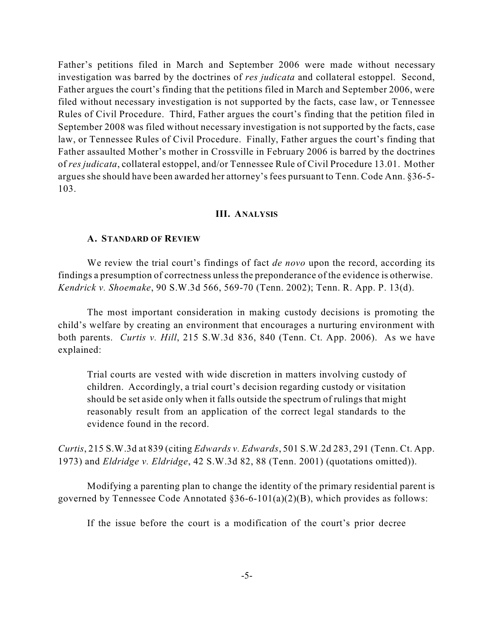Father's petitions filed in March and September 2006 were made without necessary investigation was barred by the doctrines of *res judicata* and collateral estoppel. Second, Father argues the court's finding that the petitions filed in March and September 2006, were filed without necessary investigation is not supported by the facts, case law, or Tennessee Rules of Civil Procedure. Third, Father argues the court's finding that the petition filed in September 2008 was filed without necessary investigation is not supported by the facts, case law, or Tennessee Rules of Civil Procedure. Finally, Father argues the court's finding that Father assaulted Mother's mother in Crossville in February 2006 is barred by the doctrines of *res judicata*, collateral estoppel, and/or Tennessee Rule of Civil Procedure 13.01. Mother argues she should have been awarded her attorney's fees pursuant to Tenn. Code Ann. §36-5- 103.

# **III. ANALYSIS**

#### **A. STANDARD OF REVIEW**

We review the trial court's findings of fact *de novo* upon the record, according its findings a presumption of correctness unlessthe preponderance of the evidence is otherwise. *Kendrick v. Shoemake*, 90 S.W.3d 566, 569-70 (Tenn. 2002); Tenn. R. App. P. 13(d).

The most important consideration in making custody decisions is promoting the child's welfare by creating an environment that encourages a nurturing environment with both parents. *Curtis v. Hill*, 215 S.W.3d 836, 840 (Tenn. Ct. App. 2006). As we have explained:

Trial courts are vested with wide discretion in matters involving custody of children. Accordingly, a trial court's decision regarding custody or visitation should be set aside only when it falls outside the spectrum of rulings that might reasonably result from an application of the correct legal standards to the evidence found in the record.

*Curtis*, 215 S.W.3d at 839 (citing *Edwards v. Edwards*, 501 S.W.2d 283, 291 (Tenn. Ct. App. 1973) and *Eldridge v. Eldridge*, 42 S.W.3d 82, 88 (Tenn. 2001) (quotations omitted)).

Modifying a parenting plan to change the identity of the primary residential parent is governed by Tennessee Code Annotated  $§36-6-101(a)(2)(B)$ , which provides as follows:

If the issue before the court is a modification of the court's prior decree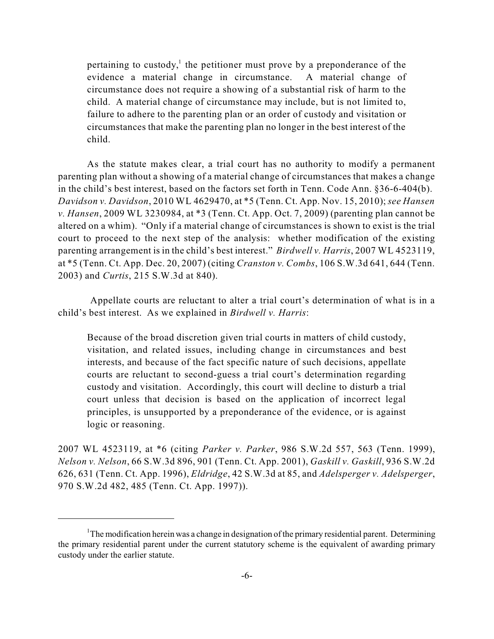pertaining to custody, the petitioner must prove by a preponderance of the evidence a material change in circumstance. A material change of circumstance does not require a showing of a substantial risk of harm to the child. A material change of circumstance may include, but is not limited to, failure to adhere to the parenting plan or an order of custody and visitation or circumstances that make the parenting plan no longer in the best interest of the child.

As the statute makes clear, a trial court has no authority to modify a permanent parenting plan without a showing of a material change of circumstances that makes a change in the child's best interest, based on the factors set forth in Tenn. Code Ann. §36-6-404(b). *Davidson v. Davidson*, 2010 WL 4629470, at \*5 (Tenn. Ct. App. Nov. 15, 2010); *see Hansen v. Hansen*, 2009 WL 3230984, at \*3 (Tenn. Ct. App. Oct. 7, 2009) (parenting plan cannot be altered on a whim). "Only if a material change of circumstances is shown to exist is the trial court to proceed to the next step of the analysis: whether modification of the existing parenting arrangement is in the child's best interest." *Birdwell v. Harris*, 2007 WL 4523119, at \*5 (Tenn. Ct. App. Dec. 20, 2007) (citing *Cranston v. Combs*, 106 S.W.3d 641, 644 (Tenn. 2003) and *Curtis*, 215 S.W.3d at 840).

Appellate courts are reluctant to alter a trial court's determination of what is in a child's best interest. As we explained in *Birdwell v. Harris*:

Because of the broad discretion given trial courts in matters of child custody, visitation, and related issues, including change in circumstances and best interests, and because of the fact specific nature of such decisions, appellate courts are reluctant to second-guess a trial court's determination regarding custody and visitation. Accordingly, this court will decline to disturb a trial court unless that decision is based on the application of incorrect legal principles, is unsupported by a preponderance of the evidence, or is against logic or reasoning.

2007 WL 4523119, at \*6 (citing *Parker v. Parker*, 986 S.W.2d 557, 563 (Tenn. 1999), *Nelson v. Nelson*, 66 S.W.3d 896, 901 (Tenn. Ct. App. 2001), *Gaskill v. Gaskill*, 936 S.W.2d 626, 631 (Tenn. Ct. App. 1996), *Eldridge*, 42 S.W.3d at 85, and *Adelsperger v. Adelsperger*, 970 S.W.2d 482, 485 (Tenn. Ct. App. 1997)).

 $1$ <sup>1</sup>The modification herein was a change in designation of the primary residential parent. Determining the primary residential parent under the current statutory scheme is the equivalent of awarding primary custody under the earlier statute.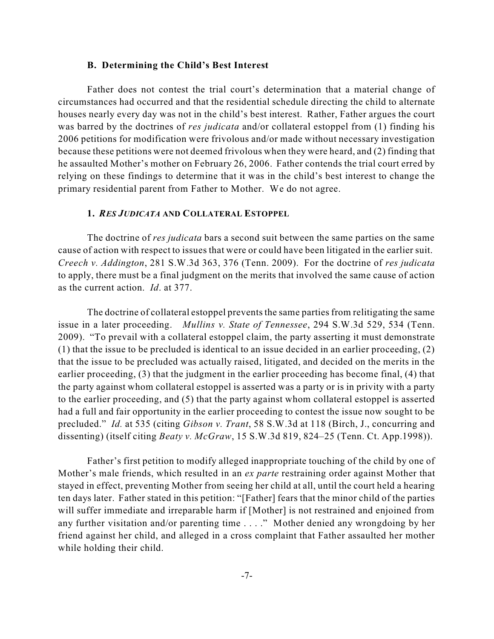#### **B. Determining the Child's Best Interest**

Father does not contest the trial court's determination that a material change of circumstances had occurred and that the residential schedule directing the child to alternate houses nearly every day was not in the child's best interest. Rather, Father argues the court was barred by the doctrines of *res judicata* and/or collateral estoppel from (1) finding his 2006 petitions for modification were frivolous and/or made without necessary investigation because these petitions were not deemed frivolous when they were heard, and (2) finding that he assaulted Mother's mother on February 26, 2006. Father contends the trial court erred by relying on these findings to determine that it was in the child's best interest to change the primary residential parent from Father to Mother. We do not agree.

# **1.** *RES JUDICATA* **AND COLLATERAL ESTOPPEL**

The doctrine of *res judicata* bars a second suit between the same parties on the same cause of action with respect to issues that were or could have been litigated in the earlier suit. *Creech v. Addington*, 281 S.W.3d 363, 376 (Tenn. 2009). For the doctrine of *res judicata* to apply, there must be a final judgment on the merits that involved the same cause of action as the current action. *Id*. at 377.

The doctrine of collateral estoppel prevents the same parties from relitigating the same issue in a later proceeding. *Mullins v. State of Tennessee*, 294 S.W.3d 529, 534 (Tenn. 2009). "To prevail with a collateral estoppel claim, the party asserting it must demonstrate (1) that the issue to be precluded is identical to an issue decided in an earlier proceeding, (2) that the issue to be precluded was actually raised, litigated, and decided on the merits in the earlier proceeding, (3) that the judgment in the earlier proceeding has become final, (4) that the party against whom collateral estoppel is asserted was a party or is in privity with a party to the earlier proceeding, and (5) that the party against whom collateral estoppel is asserted had a full and fair opportunity in the earlier proceeding to contest the issue now sought to be precluded." *Id.* at 535 (citing *Gibson v. Trant*, 58 S.W.3d at 118 (Birch, J., concurring and dissenting) (itself citing *Beaty v. McGraw*, 15 S.W.3d 819, 824–25 (Tenn. Ct. App.1998)).

Father's first petition to modify alleged inappropriate touching of the child by one of Mother's male friends, which resulted in an *ex parte* restraining order against Mother that stayed in effect, preventing Mother from seeing her child at all, until the court held a hearing ten days later. Father stated in this petition: "[Father] fears that the minor child of the parties will suffer immediate and irreparable harm if [Mother] is not restrained and enjoined from any further visitation and/or parenting time . . . ." Mother denied any wrongdoing by her friend against her child, and alleged in a cross complaint that Father assaulted her mother while holding their child.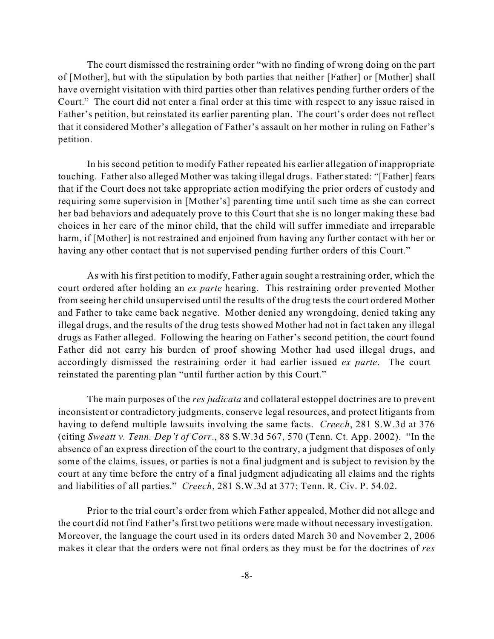The court dismissed the restraining order "with no finding of wrong doing on the part of [Mother], but with the stipulation by both parties that neither [Father] or [Mother] shall have overnight visitation with third parties other than relatives pending further orders of the Court." The court did not enter a final order at this time with respect to any issue raised in Father's petition, but reinstated its earlier parenting plan. The court's order does not reflect that it considered Mother's allegation of Father's assault on her mother in ruling on Father's petition.

In his second petition to modify Father repeated his earlier allegation of inappropriate touching. Father also alleged Mother was taking illegal drugs. Father stated: "[Father] fears that if the Court does not take appropriate action modifying the prior orders of custody and requiring some supervision in [Mother's] parenting time until such time as she can correct her bad behaviors and adequately prove to this Court that she is no longer making these bad choices in her care of the minor child, that the child will suffer immediate and irreparable harm, if [Mother] is not restrained and enjoined from having any further contact with her or having any other contact that is not supervised pending further orders of this Court."

As with his first petition to modify, Father again sought a restraining order, which the court ordered after holding an *ex parte* hearing. This restraining order prevented Mother from seeing her child unsupervised until the results of the drug tests the court ordered Mother and Father to take came back negative. Mother denied any wrongdoing, denied taking any illegal drugs, and the results of the drug tests showed Mother had not in fact taken any illegal drugs as Father alleged. Following the hearing on Father's second petition, the court found Father did not carry his burden of proof showing Mother had used illegal drugs, and accordingly dismissed the restraining order it had earlier issued *ex parte*. The court reinstated the parenting plan "until further action by this Court."

The main purposes of the *res judicata* and collateral estoppel doctrines are to prevent inconsistent or contradictory judgments, conserve legal resources, and protect litigants from having to defend multiple lawsuits involving the same facts. *Creech*, 281 S.W.3d at 376 (citing *Sweatt v. Tenn. Dep't of Corr*., 88 S.W.3d 567, 570 (Tenn. Ct. App. 2002). "In the absence of an express direction of the court to the contrary, a judgment that disposes of only some of the claims, issues, or parties is not a final judgment and is subject to revision by the court at any time before the entry of a final judgment adjudicating all claims and the rights and liabilities of all parties." *Creech*, 281 S.W.3d at 377; Tenn. R. Civ. P. 54.02.

Prior to the trial court's order from which Father appealed, Mother did not allege and the court did not find Father's first two petitions were made without necessary investigation. Moreover, the language the court used in its orders dated March 30 and November 2, 2006 makes it clear that the orders were not final orders as they must be for the doctrines of *res*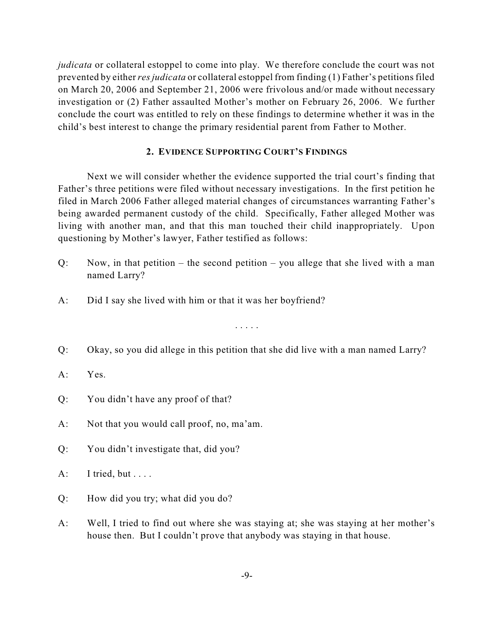*judicata* or collateral estoppel to come into play. We therefore conclude the court was not prevented by either*resjudicata* or collateral estoppel from finding (1) Father's petitions filed on March 20, 2006 and September 21, 2006 were frivolous and/or made without necessary investigation or (2) Father assaulted Mother's mother on February 26, 2006. We further conclude the court was entitled to rely on these findings to determine whether it was in the child's best interest to change the primary residential parent from Father to Mother.

# **2. EVIDENCE SUPPORTING COURT'S FINDINGS**

Next we will consider whether the evidence supported the trial court's finding that Father's three petitions were filed without necessary investigations. In the first petition he filed in March 2006 Father alleged material changes of circumstances warranting Father's being awarded permanent custody of the child. Specifically, Father alleged Mother was living with another man, and that this man touched their child inappropriately. Upon questioning by Mother's lawyer, Father testified as follows:

- Q: Now, in that petition the second petition you allege that she lived with a man named Larry?
- A: Did I say she lived with him or that it was her boyfriend?

. . . . .

Q: Okay, so you did allege in this petition that she did live with a man named Larry?

# A: Yes.

- Q: You didn't have any proof of that?
- A: Not that you would call proof, no, ma'am.
- Q: You didn't investigate that, did you?
- $A:$  I tried, but . . . .
- Q: How did you try; what did you do?
- A: Well, I tried to find out where she was staying at; she was staying at her mother's house then. But I couldn't prove that anybody was staying in that house.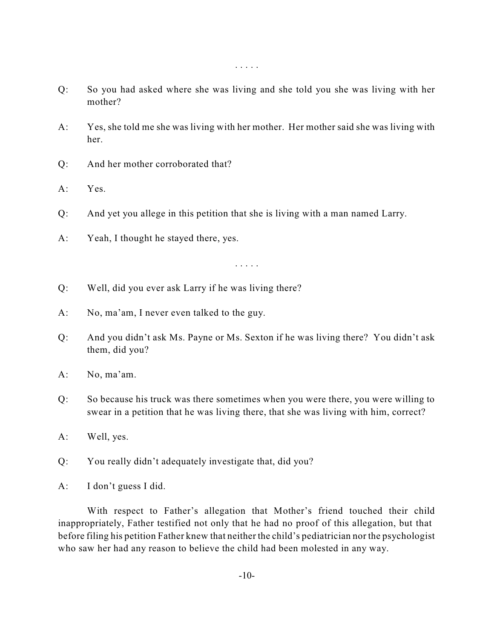- Q: So you had asked where she was living and she told you she was living with her mother?
- A: Yes, she told me she was living with her mother. Her mother said she was living with her.
- Q: And her mother corroborated that?
- A: Yes.
- Q: And yet you allege in this petition that she is living with a man named Larry.
- A: Yeah, I thought he stayed there, yes.

. . . . .

- Q: Well, did you ever ask Larry if he was living there?
- A: No, ma'am, I never even talked to the guy.
- Q: And you didn't ask Ms. Payne or Ms. Sexton if he was living there? You didn't ask them, did you?
- A: No, ma'am.
- Q: So because his truck was there sometimes when you were there, you were willing to swear in a petition that he was living there, that she was living with him, correct?
- A: Well, yes.
- Q: You really didn't adequately investigate that, did you?
- A: I don't guess I did.

With respect to Father's allegation that Mother's friend touched their child inappropriately, Father testified not only that he had no proof of this allegation, but that before filing his petition Father knew that neither the child's pediatrician nor the psychologist who saw her had any reason to believe the child had been molested in any way.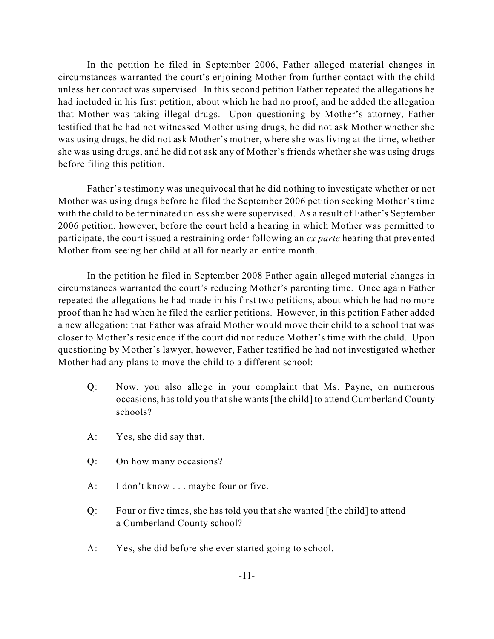In the petition he filed in September 2006, Father alleged material changes in circumstances warranted the court's enjoining Mother from further contact with the child unless her contact was supervised. In this second petition Father repeated the allegations he had included in his first petition, about which he had no proof, and he added the allegation that Mother was taking illegal drugs. Upon questioning by Mother's attorney, Father testified that he had not witnessed Mother using drugs, he did not ask Mother whether she was using drugs, he did not ask Mother's mother, where she was living at the time, whether she was using drugs, and he did not ask any of Mother's friends whether she was using drugs before filing this petition.

Father's testimony was unequivocal that he did nothing to investigate whether or not Mother was using drugs before he filed the September 2006 petition seeking Mother's time with the child to be terminated unless she were supervised. As a result of Father's September 2006 petition, however, before the court held a hearing in which Mother was permitted to participate, the court issued a restraining order following an *ex parte* hearing that prevented Mother from seeing her child at all for nearly an entire month.

In the petition he filed in September 2008 Father again alleged material changes in circumstances warranted the court's reducing Mother's parenting time. Once again Father repeated the allegations he had made in his first two petitions, about which he had no more proof than he had when he filed the earlier petitions. However, in this petition Father added a new allegation: that Father was afraid Mother would move their child to a school that was closer to Mother's residence if the court did not reduce Mother's time with the child. Upon questioning by Mother's lawyer, however, Father testified he had not investigated whether Mother had any plans to move the child to a different school:

- Q: Now, you also allege in your complaint that Ms. Payne, on numerous occasions, has told you that she wants [the child] to attend Cumberland County schools?
- A: Yes, she did say that.
- Q: On how many occasions?
- A: I don't know . . . maybe four or five.
- Q: Four or five times, she has told you that she wanted [the child] to attend a Cumberland County school?
- A: Yes, she did before she ever started going to school.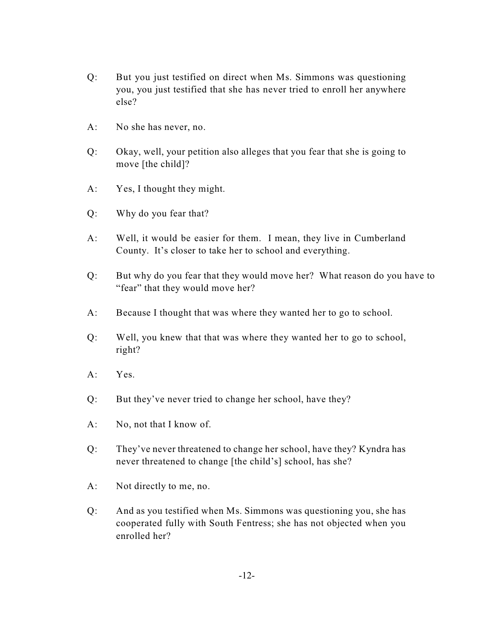- Q: But you just testified on direct when Ms. Simmons was questioning you, you just testified that she has never tried to enroll her anywhere else?
- A: No she has never, no.
- Q: Okay, well, your petition also alleges that you fear that she is going to move [the child]?
- A: Yes, I thought they might.
- Q: Why do you fear that?
- A: Well, it would be easier for them. I mean, they live in Cumberland County. It's closer to take her to school and everything.
- Q: But why do you fear that they would move her? What reason do you have to "fear" that they would move her?
- A: Because I thought that was where they wanted her to go to school.
- Q: Well, you knew that that was where they wanted her to go to school, right?
- $A \cdot Y$ es
- Q: But they've never tried to change her school, have they?
- A: No, not that I know of.
- Q: They've never threatened to change her school, have they? Kyndra has never threatened to change [the child's] school, has she?
- A: Not directly to me, no.
- Q: And as you testified when Ms. Simmons was questioning you, she has cooperated fully with South Fentress; she has not objected when you enrolled her?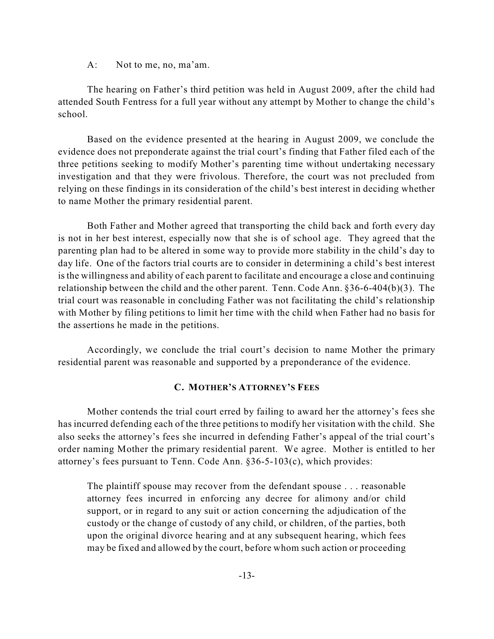A: Not to me, no, ma'am.

The hearing on Father's third petition was held in August 2009, after the child had attended South Fentress for a full year without any attempt by Mother to change the child's school.

Based on the evidence presented at the hearing in August 2009, we conclude the evidence does not preponderate against the trial court's finding that Father filed each of the three petitions seeking to modify Mother's parenting time without undertaking necessary investigation and that they were frivolous. Therefore, the court was not precluded from relying on these findings in its consideration of the child's best interest in deciding whether to name Mother the primary residential parent.

Both Father and Mother agreed that transporting the child back and forth every day is not in her best interest, especially now that she is of school age. They agreed that the parenting plan had to be altered in some way to provide more stability in the child's day to day life. One of the factors trial courts are to consider in determining a child's best interest is the willingness and ability of each parent to facilitate and encourage a close and continuing relationship between the child and the other parent. Tenn. Code Ann. §36-6-404(b)(3). The trial court was reasonable in concluding Father was not facilitating the child's relationship with Mother by filing petitions to limit her time with the child when Father had no basis for the assertions he made in the petitions.

Accordingly, we conclude the trial court's decision to name Mother the primary residential parent was reasonable and supported by a preponderance of the evidence.

# **C. MOTHER'S ATTORNEY'S FEES**

Mother contends the trial court erred by failing to award her the attorney's fees she has incurred defending each of the three petitions to modify her visitation with the child. She also seeks the attorney's fees she incurred in defending Father's appeal of the trial court's order naming Mother the primary residential parent. We agree. Mother is entitled to her attorney's fees pursuant to Tenn. Code Ann. §36-5-103(c), which provides:

The plaintiff spouse may recover from the defendant spouse . . . reasonable attorney fees incurred in enforcing any decree for alimony and/or child support, or in regard to any suit or action concerning the adjudication of the custody or the change of custody of any child, or children, of the parties, both upon the original divorce hearing and at any subsequent hearing, which fees may be fixed and allowed by the court, before whom such action or proceeding